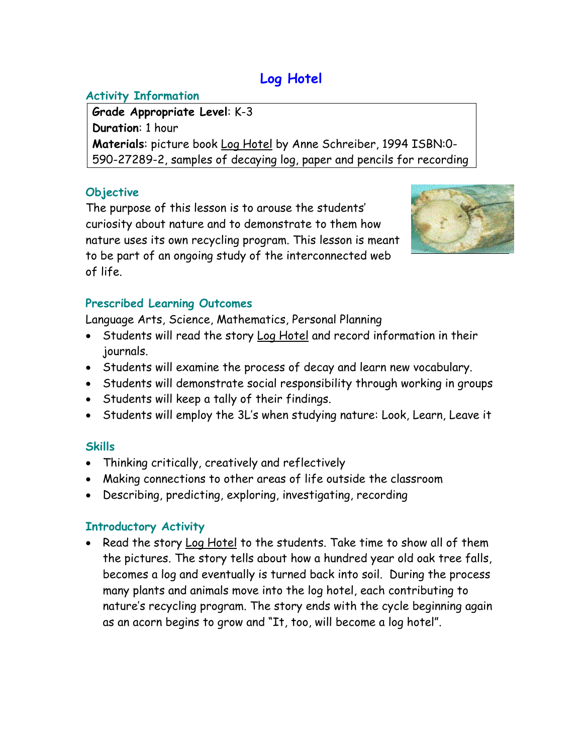# **Log Hotel**

## **Activity Information**

**Grade Appropriate Level**: K-3 **Duration**: 1 hour **Materials**: picture book Log Hotel by Anne Schreiber, 1994 ISBN:0- 590-27289-2, samples of decaying log, paper and pencils for recording

### **Objective**

The purpose of this lesson is to arouse the students' curiosity about nature and to demonstrate to them how nature uses its own recycling program. This lesson is meant to be part of an ongoing study of the interconnected web of life.



## **Prescribed Learning Outcomes**

Language Arts, Science, Mathematics, Personal Planning

- Students will read the story Log Hotel and record information in their journals.
- Students will examine the process of decay and learn new vocabulary.
- Students will demonstrate social responsibility through working in groups
- Students will keep a tally of their findings.
- Students will employ the 3L's when studying nature: Look, Learn, Leave it

# **Skills**

- Thinking critically, creatively and reflectively
- Making connections to other areas of life outside the classroom
- Describing, predicting, exploring, investigating, recording

# **Introductory Activity**

• Read the story Log Hotel to the students. Take time to show all of them the pictures. The story tells about how a hundred year old oak tree falls, becomes a log and eventually is turned back into soil. During the process many plants and animals move into the log hotel, each contributing to nature's recycling program. The story ends with the cycle beginning again as an acorn begins to grow and "It, too, will become a log hotel".